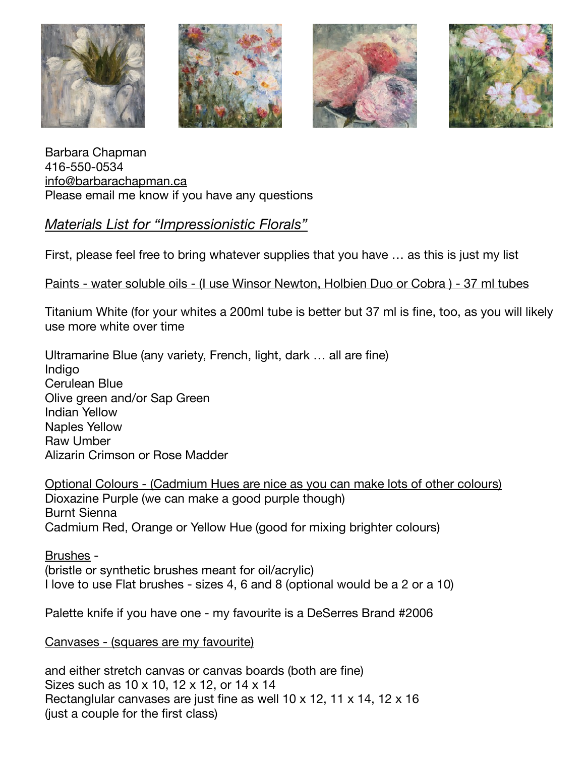







Barbara Chapman 416-550-0534 [info@barbarachapman.ca](mailto:info@barbarachapman.ca) Please email me know if you have any questions

# *Materials List for "Impressionistic Florals"*

First, please feel free to bring whatever supplies that you have … as this is just my list

## Paints - water soluble oils - (I use Winsor Newton, Holbien Duo or Cobra ) - 37 ml tubes

Titanium White (for your whites a 200ml tube is better but 37 ml is fine, too, as you will likely use more white over time

Ultramarine Blue (any variety, French, light, dark … all are fine) **Indigo** Cerulean Blue Olive green and/or Sap Green Indian Yellow Naples Yellow Raw Umber Alizarin Crimson or Rose Madder

Optional Colours - (Cadmium Hues are nice as you can make lots of other colours) Dioxazine Purple (we can make a good purple though) Burnt Sienna Cadmium Red, Orange or Yellow Hue (good for mixing brighter colours)

Brushes - (bristle or synthetic brushes meant for oil/acrylic) I love to use Flat brushes - sizes 4, 6 and 8 (optional would be a 2 or a 10)

Palette knife if you have one - my favourite is a DeSerres Brand #2006

Canvases - (squares are my favourite)

and either stretch canvas or canvas boards (both are fine) Sizes such as 10 x 10, 12 x 12, or 14 x 14 Rectanglular canvases are just fine as well 10 x 12, 11 x 14, 12 x 16 (just a couple for the first class)